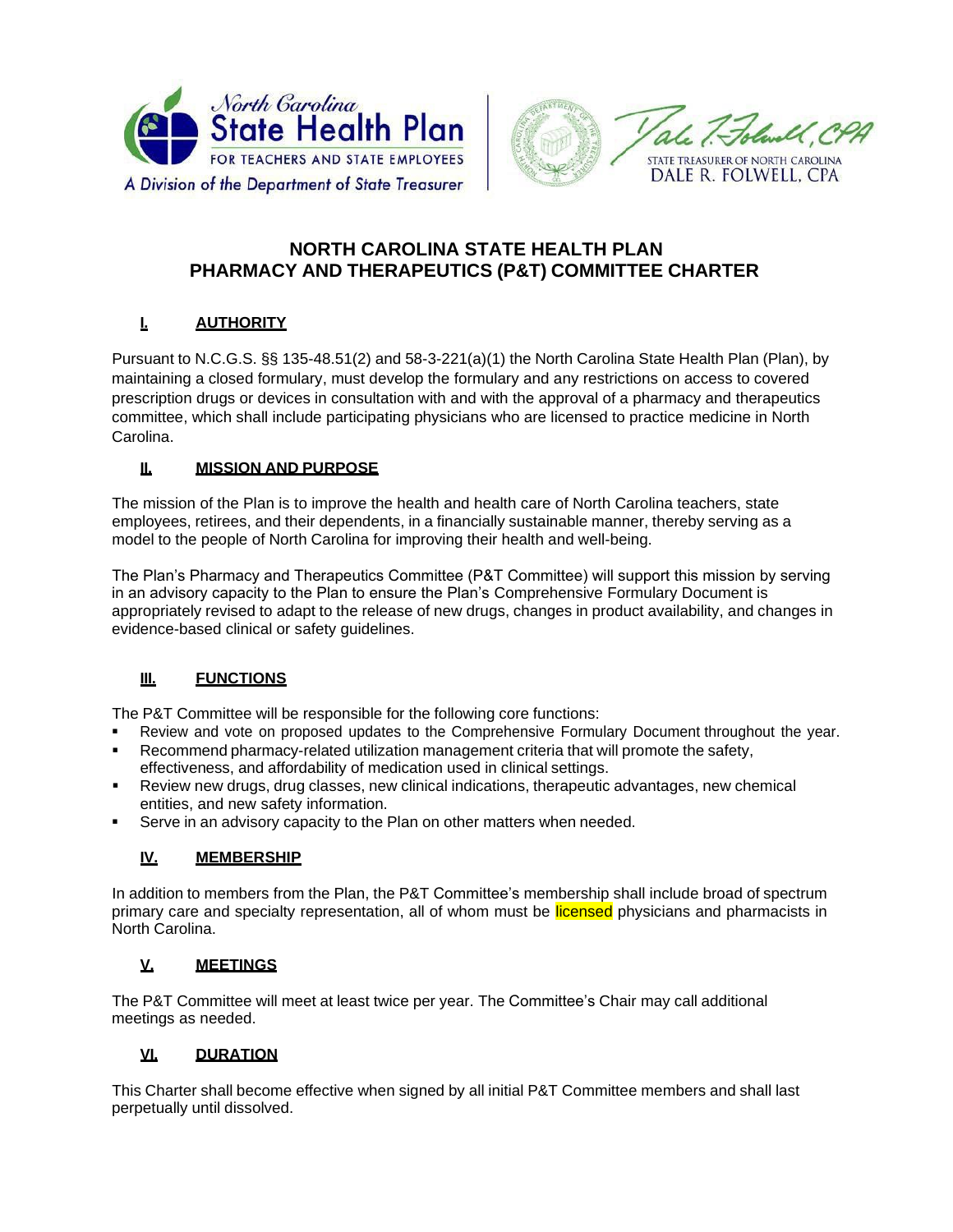



# **NORTH CAROLINA STATE HEALTH PLAN PHARMACY AND THERAPEUTICS (P&T) COMMITTEE CHARTER**

# **I. AUTHORITY**

Pursuant to N.C.G.S. §§ 135-48.51(2) and 58-3-221(a)(1) the North Carolina State Health Plan (Plan), by maintaining a closed formulary, must develop the formulary and any restrictions on access to covered prescription drugs or devices in consultation with and with the approval of a pharmacy and therapeutics committee, which shall include participating physicians who are licensed to practice medicine in North Carolina.

#### **II. MISSION AND PURPOSE**

The mission of the Plan is to improve the health and health care of North Carolina teachers, state employees, retirees, and their dependents, in a financially sustainable manner, thereby serving as a model to the people of North Carolina for improving their health and well-being.

The Plan's Pharmacy and Therapeutics Committee (P&T Committee) will support this mission by serving in an advisory capacity to the Plan to ensure the Plan's Comprehensive Formulary Document is appropriately revised to adapt to the release of new drugs, changes in product availability, and changes in evidence-based clinical or safety guidelines.

### **III. FUNCTIONS**

The P&T Committee will be responsible for the following core functions:

- Review and vote on proposed updates to the Comprehensive Formulary Document throughout the year.
- Recommend pharmacy-related utilization management criteria that will promote the safety, effectiveness, and affordability of medication used in clinical settings.
- Review new drugs, drug classes, new clinical indications, therapeutic advantages, new chemical entities, and new safety information.
- Serve in an advisory capacity to the Plan on other matters when needed.

#### **IV. MEMBERSHIP**

In addition to members from the Plan, the P&T Committee's membership shall include broad of spectrum primary care and specialty representation, all of whom must be licensed physicians and pharmacists in North Carolina.

#### **V. MEETINGS**

The P&T Committee will meet at least twice per year. The Committee's Chair may call additional meetings as needed.

#### **VI. DURATION**

This Charter shall become effective when signed by all initial P&T Committee members and shall last perpetually until dissolved.